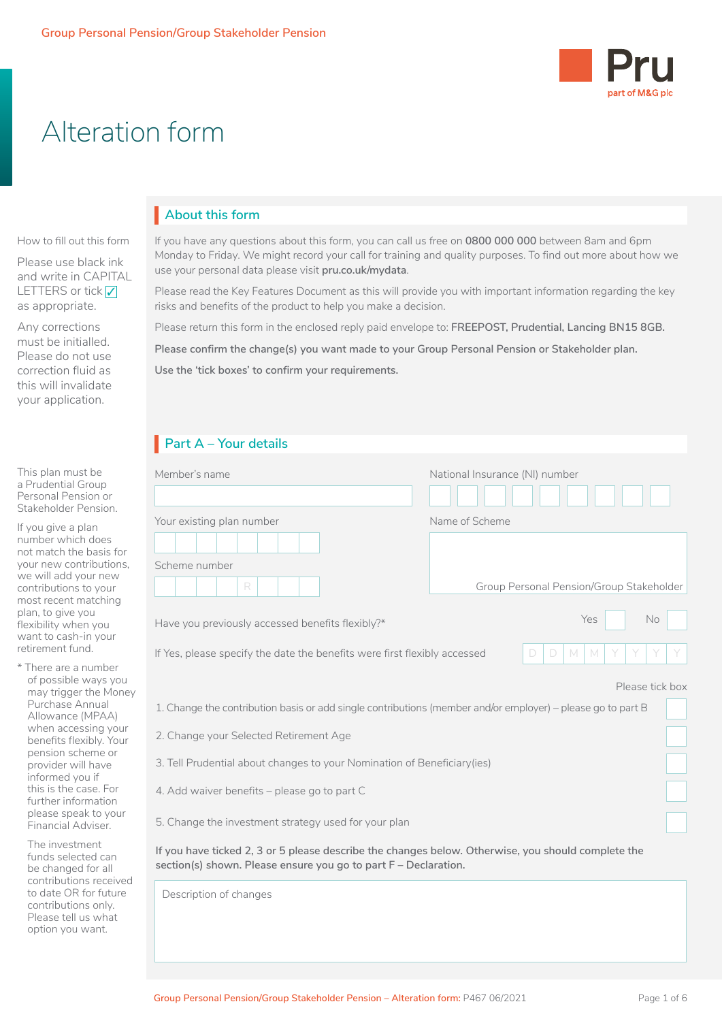

# Alteration form

# **About this form** I

How to fill out this form

Please use black ink and write in CAPITAL LETTERS or tick <mark>✓</mark><br>-- - - - - - - - - - - - - as appropriate.

Any corrections must be initialled. Please do not use correction fluid as this will invalidate your application.

### This plan must be a Prudential Group Personal Pension or Stakeholder Pension.

If you give a plan number which does not match the basis for your new contributions, we will add your new contributions to your most recent matching plan, to give you flexibility when you want to cash-in your retirement fund.

\* There are a number of possible ways you may trigger the Money Purchase Annual Allowance (MPAA) when accessing your benefits flexibly. Your pension scheme or provider will have informed you if this is the case. For further information please speak to your Financial Adviser.

The investment funds selected can be changed for all contributions received to date OR for future contributions only. Please tell us what option you want.

If you have any questions about this form, you can call us free on **0800 000 000** between 8am and 6pm Monday to Friday. We might record your call for training and quality purposes. To find out more about how we use your personal data please visit **[pru.co.uk/mydata](http://www.pru.co.uk/mydata)**.

Please read the Key Features Document as this will provide you with important information regarding the key risks and benefits of the product to help you make a decision.

Please return this form in the enclosed reply paid envelope to: **FREEPOST, Prudential, Lancing BN15 8GB.**

**Please confirm the change(s) you want made to your Group Personal Pension or Stakeholder plan.**

**Use the 'tick boxes' to confirm your requirements.**

# **Part A – Your details** I

| Member's name                                                                                                                                                         | National Insurance (NI) number           |
|-----------------------------------------------------------------------------------------------------------------------------------------------------------------------|------------------------------------------|
| Your existing plan number                                                                                                                                             | Name of Scheme                           |
|                                                                                                                                                                       |                                          |
| Scheme number                                                                                                                                                         |                                          |
| R                                                                                                                                                                     | Group Personal Pension/Group Stakeholder |
| Have you previously accessed benefits flexibly?*                                                                                                                      | <b>No</b><br>Yes                         |
| If Yes, please specify the date the benefits were first flexibly accessed                                                                                             | D<br>D<br>M<br>M                         |
|                                                                                                                                                                       | Please tick box                          |
| 1. Change the contribution basis or add single contributions (member and/or employer) – please go to part B                                                           |                                          |
| 2. Change your Selected Retirement Age                                                                                                                                |                                          |
| 3. Tell Prudential about changes to your Nomination of Beneficiary (ies)                                                                                              |                                          |
| 4. Add waiver benefits - please go to part C                                                                                                                          |                                          |
| 5. Change the investment strategy used for your plan                                                                                                                  |                                          |
| If you have ticked 2, 3 or 5 please describe the changes below. Otherwise, you should complete the<br>section(s) shown. Please ensure you go to part F - Declaration. |                                          |
| Description of changes                                                                                                                                                |                                          |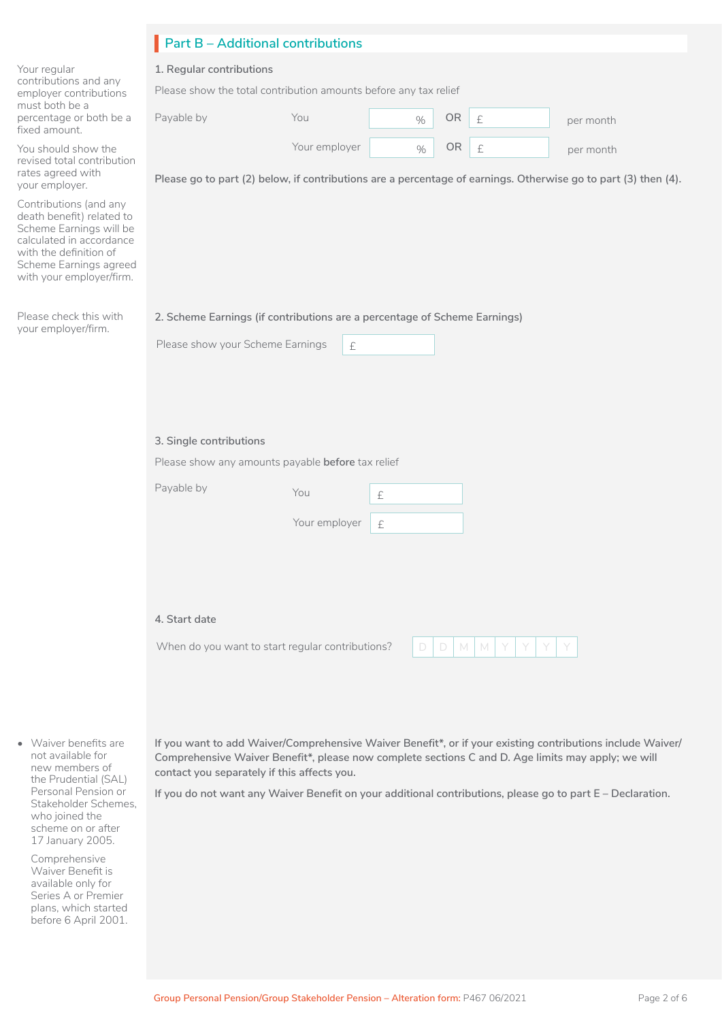|                                                                                                                                                                                            | <b>Part B - Additional contributions</b>                                                                                                                                                                                                                        |  |  |  |  |  |
|--------------------------------------------------------------------------------------------------------------------------------------------------------------------------------------------|-----------------------------------------------------------------------------------------------------------------------------------------------------------------------------------------------------------------------------------------------------------------|--|--|--|--|--|
| Your regular                                                                                                                                                                               | 1. Regular contributions                                                                                                                                                                                                                                        |  |  |  |  |  |
| contributions and any<br>employer contributions                                                                                                                                            | Please show the total contribution amounts before any tax relief                                                                                                                                                                                                |  |  |  |  |  |
| must both be a<br>percentage or both be a<br>fixed amount.                                                                                                                                 | Payable by<br>OR<br>You<br>$\pounds$<br>$\%$<br>per month                                                                                                                                                                                                       |  |  |  |  |  |
| You should show the<br>revised total contribution<br>rates agreed with                                                                                                                     | Your employer<br>OR<br>$\pounds$<br>$\%$<br>per month                                                                                                                                                                                                           |  |  |  |  |  |
| your employer.                                                                                                                                                                             | Please go to part (2) below, if contributions are a percentage of earnings. Otherwise go to part (3) then (4).                                                                                                                                                  |  |  |  |  |  |
| Contributions (and any<br>death benefit) related to<br>Scheme Earnings will be<br>calculated in accordance<br>with the definition of<br>Scheme Earnings agreed<br>with your employer/firm. |                                                                                                                                                                                                                                                                 |  |  |  |  |  |
| Please check this with                                                                                                                                                                     | 2. Scheme Earnings (if contributions are a percentage of Scheme Earnings)                                                                                                                                                                                       |  |  |  |  |  |
| your employer/firm.                                                                                                                                                                        | Please show your Scheme Earnings<br>$\pounds$                                                                                                                                                                                                                   |  |  |  |  |  |
|                                                                                                                                                                                            |                                                                                                                                                                                                                                                                 |  |  |  |  |  |
|                                                                                                                                                                                            | 3. Single contributions                                                                                                                                                                                                                                         |  |  |  |  |  |
|                                                                                                                                                                                            | Please show any amounts payable before tax relief                                                                                                                                                                                                               |  |  |  |  |  |
|                                                                                                                                                                                            | Payable by<br>You<br>£                                                                                                                                                                                                                                          |  |  |  |  |  |
|                                                                                                                                                                                            | Your employer<br>£                                                                                                                                                                                                                                              |  |  |  |  |  |
|                                                                                                                                                                                            |                                                                                                                                                                                                                                                                 |  |  |  |  |  |
|                                                                                                                                                                                            |                                                                                                                                                                                                                                                                 |  |  |  |  |  |
|                                                                                                                                                                                            | 4. Start date                                                                                                                                                                                                                                                   |  |  |  |  |  |
|                                                                                                                                                                                            | When do you want to start regular contributions?<br>M<br>$\Box$<br>M<br>D                                                                                                                                                                                       |  |  |  |  |  |
|                                                                                                                                                                                            |                                                                                                                                                                                                                                                                 |  |  |  |  |  |
|                                                                                                                                                                                            |                                                                                                                                                                                                                                                                 |  |  |  |  |  |
| • Waiver benefits are<br>not available for<br>new members of<br>the Prudential (SAL)                                                                                                       | If you want to add Waiver/Comprehensive Waiver Benefit*, or if your existing contributions include Waiver/<br>Comprehensive Waiver Benefit*, please now complete sections C and D. Age limits may apply; we will<br>contact you separately if this affects you. |  |  |  |  |  |
| Personal Pension or<br>Stakeholder Schemes,<br>who joined the<br>scheme on or after<br>17 January 2005.                                                                                    | If you do not want any Waiver Benefit on your additional contributions, please go to part E - Declaration.                                                                                                                                                      |  |  |  |  |  |
| Comprehensive<br>Waiver Benefit is<br>available only for<br>Series A or Premier<br>plans, which started<br>before 6 April 2001.                                                            |                                                                                                                                                                                                                                                                 |  |  |  |  |  |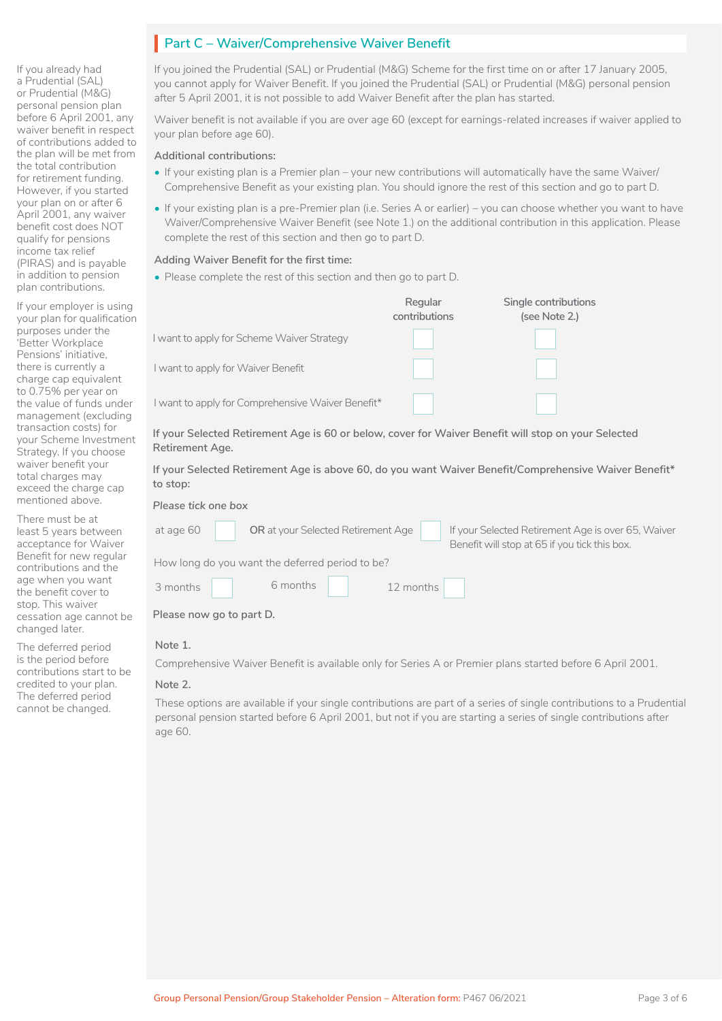If you already had a Prudential (SAL) or Prudential (M&G) personal pension plan before 6 April 2001, any waiver benefit in respect of contributions added to the plan will be met from the total contribution for retirement funding. However, if you started your plan on or after 6 April 2001, any waiver benefit cost does NOT qualify for pensions income tax relief (PIRAS) and is payable in addition to pension plan contributions.

If your employer is using your plan for qualification purposes under the 'Better Workplace Pensions' initiative, there is currently a charge cap equivalent to 0.75% per year on the value of funds under management (excluding transaction costs) for your Scheme Investment Strategy. If you choose waiver benefit your total charges may exceed the charge cap mentioned above.

There must be at least 5 years between acceptance for Waiver Benefit for new regular contributions and the age when you want the benefit cover to stop. This waiver cessation age cannot be changed later.

The deferred period is the period before contributions start to be credited to your plan. The deferred period cannot be changed.

# **Part C - Waiver/Comprehensive Waiver Benefit**

If you joined the Prudential (SAL) or Prudential (M&G) Scheme for the first time on or after 17 January 2005, you cannot apply for Waiver Benefit. If you joined the Prudential (SAL) or Prudential (M&G) personal pension after 5 April 2001, it is not possible to add Waiver Benefit after the plan has started.

Waiver benefit is not available if you are over age 60 (except for earnings-related increases if waiver applied to your plan before age 60).

#### **Additional contributions:**

- If your existing plan is a Premier plan your new contributions will automatically have the same Waiver/ Comprehensive Benefit as your existing plan. You should ignore the rest of this section and go to part D.
- If your existing plan is a pre-Premier plan (i.e. Series A or earlier) you can choose whether you want to have Waiver/Comprehensive Waiver Benefit (see Note 1.) on the additional contribution in this application. Please complete the rest of this section and then go to part D.

### **Adding Waiver Benefit for the first time:**

• Please complete the rest of this section and then go to part D.

|                                                                                                                        | Regular<br>contributions | Single contributions<br>(see Note 2.) |  |  |  |
|------------------------------------------------------------------------------------------------------------------------|--------------------------|---------------------------------------|--|--|--|
| I want to apply for Scheme Waiver Strategy                                                                             |                          |                                       |  |  |  |
| I want to apply for Waiver Benefit                                                                                     |                          |                                       |  |  |  |
| I want to apply for Comprehensive Waiver Benefit*                                                                      |                          |                                       |  |  |  |
| If your Selected Retirement Age is 60 or below, cover for Waiver Benefit will stop on your Selected<br>Retirement Age. |                          |                                       |  |  |  |
| If your Selected Retirement Age is above 60, do you want Waiver Benefit/Comprehensive Waiver Benefit*<br>to stop:      |                          |                                       |  |  |  |

### *Please tick one box*

| at age 60                                       |  | OR at your Selected Retirement Age |  |  |  | If your Selected Retirement Age is over 65, Waiver<br>Benefit will stop at 65 if you tick this box. |
|-------------------------------------------------|--|------------------------------------|--|--|--|-----------------------------------------------------------------------------------------------------|
| How long do you want the deferred period to be? |  |                                    |  |  |  |                                                                                                     |
| 3 months                                        |  | 6 months 12 months                 |  |  |  |                                                                                                     |
| Please now go to part D.                        |  |                                    |  |  |  |                                                                                                     |

#### **Note 1.**

Comprehensive Waiver Benefit is available only for Series A or Premier plans started before 6 April 2001.

#### **Note 2.**

These options are available if your single contributions are part of a series of single contributions to a Prudential personal pension started before 6 April 2001, but not if you are starting a series of single contributions after age 60.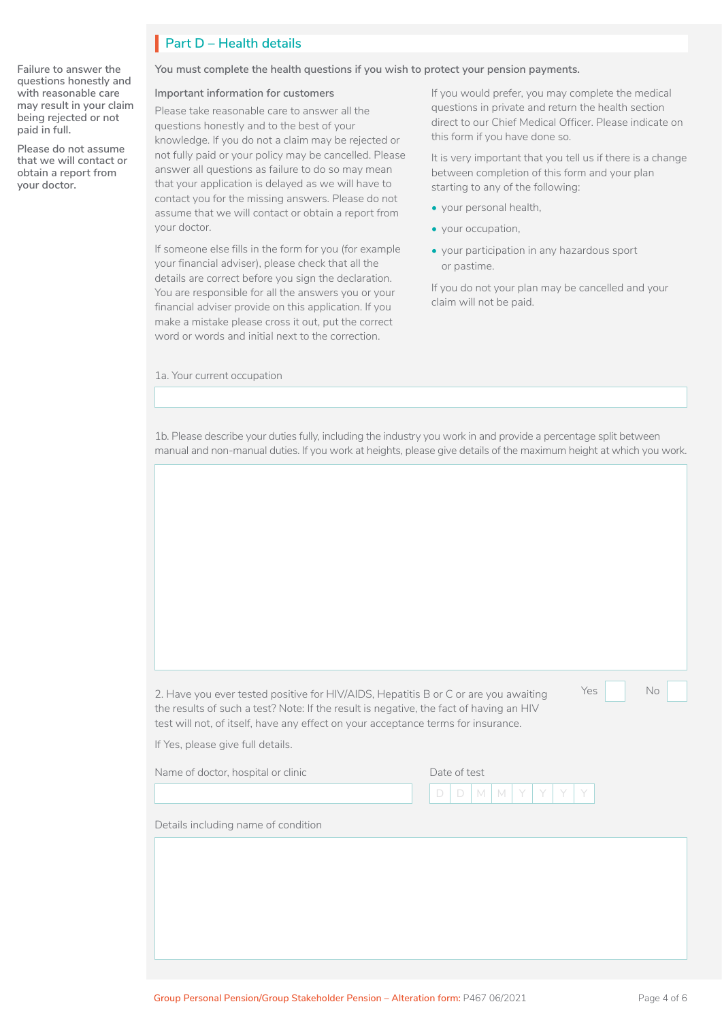# **Part D – Health details** I

**Failure to answer the questions honestly and with reasonable care may result in your claim being rejected or not paid in full.**

**Please do not assume that we will contact or obtain a report from your doctor.**

**You must complete the health questions if you wish to protect your pension payments.**

#### **Important information for customers**

Please take reasonable care to answer all the questions honestly and to the best of your knowledge. If you do not a claim may be rejected or not fully paid or your policy may be cancelled. Please answer all questions as failure to do so may mean that your application is delayed as we will have to contact you for the missing answers. Please do not assume that we will contact or obtain a report from your doctor.

If someone else fills in the form for you (for example your financial adviser), please check that all the details are correct before you sign the declaration. You are responsible for all the answers you or your financial adviser provide on this application. If you make a mistake please cross it out, put the correct word or words and initial next to the correction.

1a. Your current occupation

If you would prefer, you may complete the medical questions in private and return the health section direct to our Chief Medical Officer. Please indicate on this form if you have done so.

It is very important that you tell us if there is a change between completion of this form and your plan starting to any of the following:

- your personal health,
- your occupation,
- your participation in any hazardous sport or pastime.

If you do not your plan may be cancelled and your claim will not be paid.

1b. Please describe your duties fully, including the industry you work in and provide a percentage split between manual and non-manual duties. If you work at heights, please give details of the maximum height at which you work.

2. Have you ever tested positive for HIV/AIDS, Hepatitis B or C or are you awaiting Yes the results of such a test? Note: If the result is negative, the fact of having an HIV test will not, of itself, have any effect on your acceptance terms for insurance.

 $\Box$  No  $\Box$ 

If Yes, please give full details.

Name of doctor, hospital or clinic D | D | M | M | Y | Y | Y | Y Date of test

Details including name of condition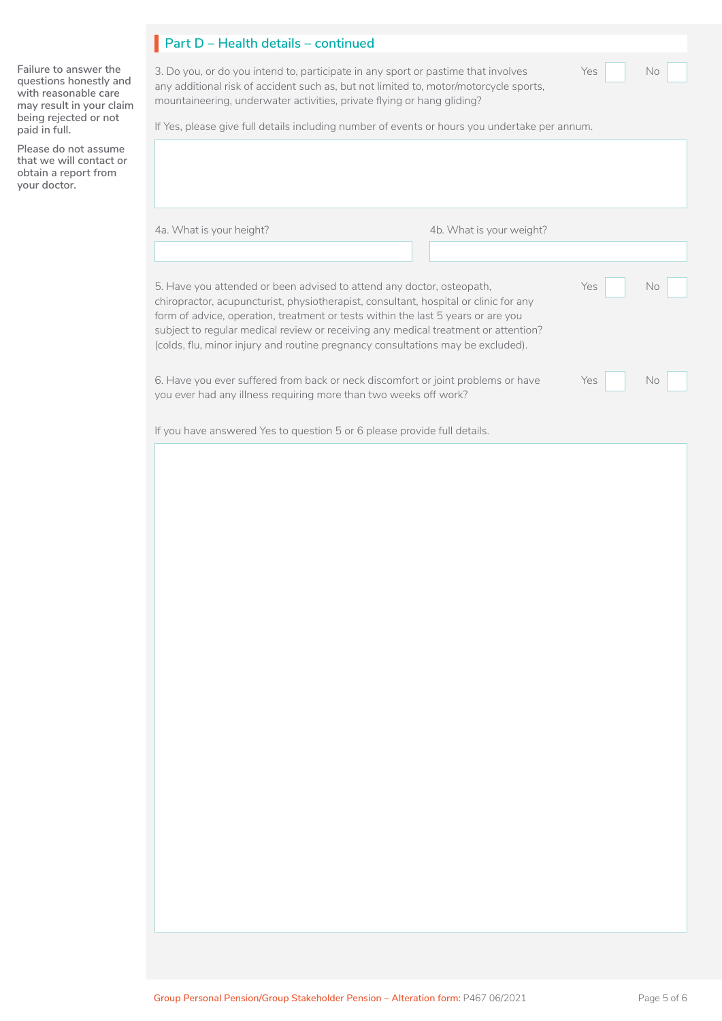|  |  |  | Part D – Health details – continued |
|--|--|--|-------------------------------------|
|--|--|--|-------------------------------------|

3. Do you, or do you intend to, participate in any sport or pastime that involves Yes Yes No any additional risk of accident such as, but not limited to, motor/motorcycle sports, mountaineering, underwater activities, private flying or hang gliding?

No

**Failure to answer the questions honestly and with reasonable care may result in your claim being rejected or not paid in full.**

I

**Please do not assume that we will contact or obtain a report from your doctor.**

If Yes, please give full details including number of events or hours you undertake per annum.

4a. What is your height? 4b. What is your weight?

| 5. Have you attended or been advised to attend any doctor, osteopath,<br>chiropractor, acupuncturist, physiotherapist, consultant, hospital or clinic for any<br>form of advice, operation, treatment or tests within the last 5 years or are you<br>subject to regular medical review or receiving any medical treatment or attention?<br>(colds, flu, minor injury and routine pregnancy consultations may be excluded). | Yes | No. |
|----------------------------------------------------------------------------------------------------------------------------------------------------------------------------------------------------------------------------------------------------------------------------------------------------------------------------------------------------------------------------------------------------------------------------|-----|-----|
| 6. Have you ever suffered from back or neck discomfort or joint problems or have<br>you ever had any illness requiring more than two weeks off work?                                                                                                                                                                                                                                                                       | Yes | No  |

If you have answered Yes to question 5 or 6 please provide full details.